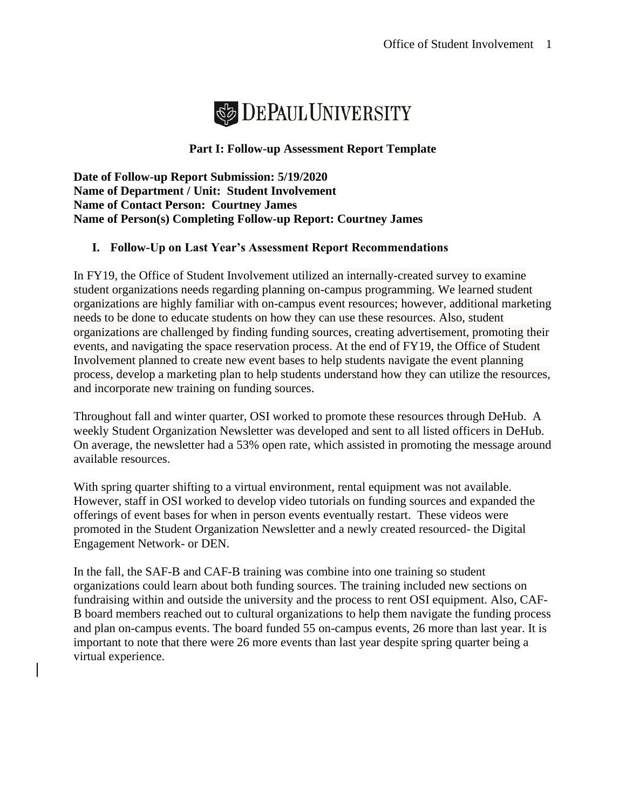

## **Part I: Follow-up Assessment Report Template**

**Date of Follow-up Report Submission: 5/19/2020 Name of Department / Unit: Student Involvement Name of Contact Person: Courtney James Name of Person(s) Completing Follow-up Report: Courtney James** 

## **I. Follow-Up on Last Year's Assessment Report Recommendations**

In FY19, the Office of Student Involvement utilized an internally-created survey to examine student organizations needs regarding planning on-campus programming. We learned student organizations are highly familiar with on-campus event resources; however, additional marketing needs to be done to educate students on how they can use these resources. Also, student organizations are challenged by finding funding sources, creating advertisement, promoting their events, and navigating the space reservation process. At the end of FY19, the Office of Student Involvement planned to create new event bases to help students navigate the event planning process, develop a marketing plan to help students understand how they can utilize the resources, and incorporate new training on funding sources.

Throughout fall and winter quarter, OSI worked to promote these resources through DeHub. A weekly Student Organization Newsletter was developed and sent to all listed officers in DeHub. On average, the newsletter had a 53% open rate, which assisted in promoting the message around available resources.

With spring quarter shifting to a virtual environment, rental equipment was not available. However, staff in OSI worked to develop video tutorials on funding sources and expanded the offerings of event bases for when in person events eventually restart. These videos were promoted in the Student Organization Newsletter and a newly created resourced- the Digital Engagement Network- or DEN.

In the fall, the SAF-B and CAF-B training was combine into one training so student organizations could learn about both funding sources. The training included new sections on fundraising within and outside the university and the process to rent OSI equipment. Also, CAF-B board members reached out to cultural organizations to help them navigate the funding process and plan on-campus events. The board funded 55 on-campus events, 26 more than last year. It is important to note that there were 26 more events than last year despite spring quarter being a virtual experience.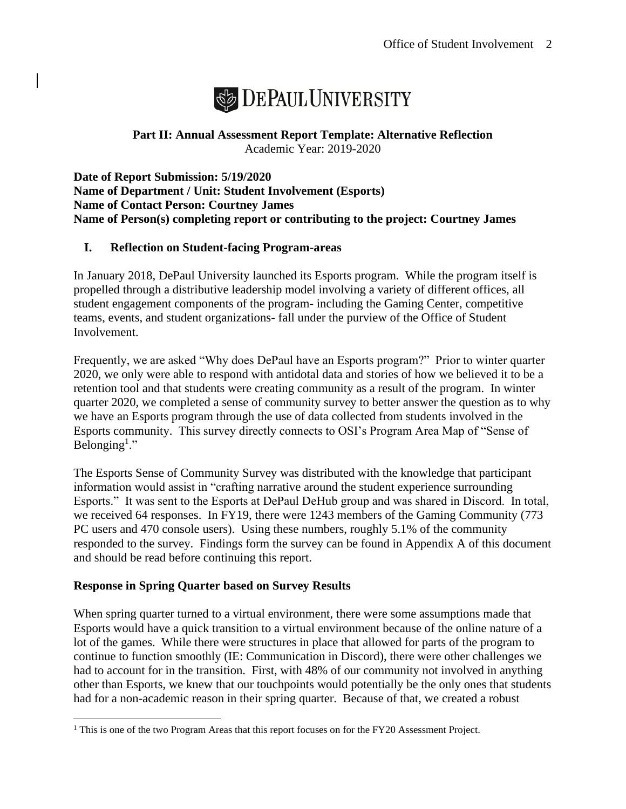

# **Part II: Annual Assessment Report Template: Alternative Reflection** Academic Year: 2019-2020

**Date of Report Submission: 5/19/2020 Name of Department / Unit: Student Involvement (Esports) Name of Contact Person: Courtney James Name of Person(s) completing report or contributing to the project: Courtney James**

# **I. Reflection on Student-facing Program-areas**

In January 2018, DePaul University launched its Esports program. While the program itself is propelled through a distributive leadership model involving a variety of different offices, all student engagement components of the program- including the Gaming Center, competitive teams, events, and student organizations- fall under the purview of the Office of Student Involvement.

Frequently, we are asked "Why does DePaul have an Esports program?" Prior to winter quarter 2020, we only were able to respond with antidotal data and stories of how we believed it to be a retention tool and that students were creating community as a result of the program. In winter quarter 2020, we completed a sense of community survey to better answer the question as to why we have an Esports program through the use of data collected from students involved in the Esports community. This survey directly connects to OSI's Program Area Map of "Sense of Belonging<sup>1</sup>."

The Esports Sense of Community Survey was distributed with the knowledge that participant information would assist in "crafting narrative around the student experience surrounding Esports." It was sent to the Esports at DePaul DeHub group and was shared in Discord. In total, we received 64 responses. In FY19, there were 1243 members of the Gaming Community (773 PC users and 470 console users). Using these numbers, roughly 5.1% of the community responded to the survey. Findings form the survey can be found in Appendix A of this document and should be read before continuing this report.

## **Response in Spring Quarter based on Survey Results**

When spring quarter turned to a virtual environment, there were some assumptions made that Esports would have a quick transition to a virtual environment because of the online nature of a lot of the games. While there were structures in place that allowed for parts of the program to continue to function smoothly (IE: Communication in Discord), there were other challenges we had to account for in the transition. First, with 48% of our community not involved in anything other than Esports, we knew that our touchpoints would potentially be the only ones that students had for a non-academic reason in their spring quarter. Because of that, we created a robust

<sup>&</sup>lt;sup>1</sup> This is one of the two Program Areas that this report focuses on for the FY20 Assessment Project.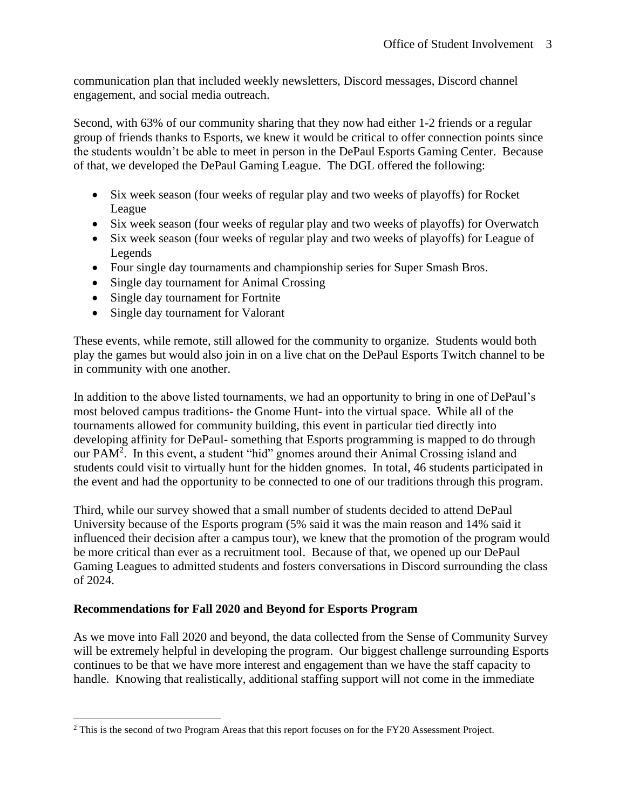communication plan that included weekly newsletters, Discord messages, Discord channel engagement, and social media outreach.

Second, with 63% of our community sharing that they now had either 1-2 friends or a regular group of friends thanks to Esports, we knew it would be critical to offer connection points since the students wouldn't be able to meet in person in the DePaul Esports Gaming Center. Because of that, we developed the DePaul Gaming League. The DGL offered the following:

- Six week season (four weeks of regular play and two weeks of playoffs) for Rocket League
- Six week season (four weeks of regular play and two weeks of playoffs) for Overwatch
- Six week season (four weeks of regular play and two weeks of playoffs) for League of Legends
- Four single day tournaments and championship series for Super Smash Bros.
- Single day tournament for Animal Crossing
- Single day tournament for Fortnite
- Single day tournament for Valorant

These events, while remote, still allowed for the community to organize. Students would both play the games but would also join in on a live chat on the DePaul Esports Twitch channel to be in community with one another.

In addition to the above listed tournaments, we had an opportunity to bring in one of DePaul's most beloved campus traditions- the Gnome Hunt- into the virtual space. While all of the tournaments allowed for community building, this event in particular tied directly into developing affinity for DePaul- something that Esports programming is mapped to do through our PAM<sup>2</sup>. In this event, a student "hid" gnomes around their Animal Crossing island and students could visit to virtually hunt for the hidden gnomes. In total, 46 students participated in the event and had the opportunity to be connected to one of our traditions through this program.

Third, while our survey showed that a small number of students decided to attend DePaul University because of the Esports program (5% said it was the main reason and 14% said it influenced their decision after a campus tour), we knew that the promotion of the program would be more critical than ever as a recruitment tool. Because of that, we opened up our DePaul Gaming Leagues to admitted students and fosters conversations in Discord surrounding the class of 2024.

# **Recommendations for Fall 2020 and Beyond for Esports Program**

As we move into Fall 2020 and beyond, the data collected from the Sense of Community Survey will be extremely helpful in developing the program. Our biggest challenge surrounding Esports continues to be that we have more interest and engagement than we have the staff capacity to handle. Knowing that realistically, additional staffing support will not come in the immediate

<sup>&</sup>lt;sup>2</sup> This is the second of two Program Areas that this report focuses on for the FY20 Assessment Project.